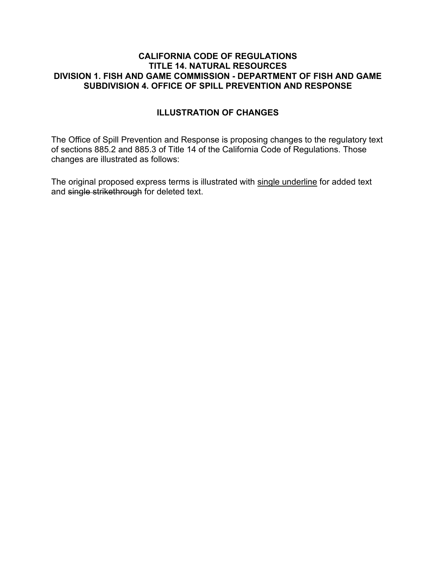#### **CALIFORNIA CODE OF REGULATIONS TITLE 14. NATURAL RESOURCES DIVISION 1. FISH AND GAME COMMISSION - DEPARTMENT OF FISH AND GAME SUBDIVISION 4. OFFICE OF SPILL PREVENTION AND RESPONSE**

### **ILLUSTRATION OF CHANGES**

The Office of Spill Prevention and Response is proposing changes to the regulatory text of sections 885.2 and 885.3 of Title 14 of the California Code of Regulations. Those changes are illustrated as follows:

The original proposed express terms is illustrated with single underline for added text and single strikethrough for deleted text.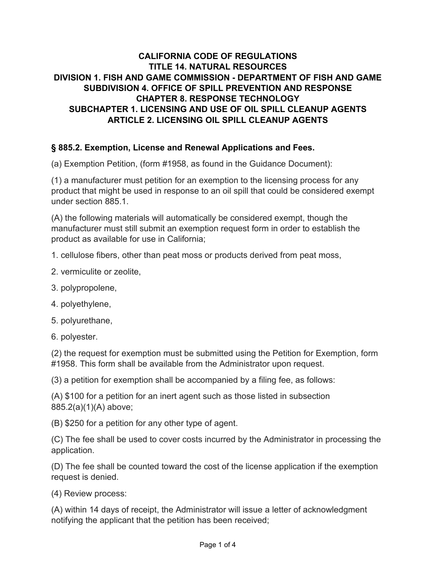### **CALIFORNIA CODE OF REGULATIONS TITLE 14. NATURAL RESOURCES DIVISION 1. FISH AND GAME COMMISSION - DEPARTMENT OF FISH AND GAME SUBDIVISION 4. OFFICE OF SPILL PREVENTION AND RESPONSE CHAPTER 8. RESPONSE TECHNOLOGY SUBCHAPTER 1. LICENSING AND USE OF OIL SPILL CLEANUP AGENTS ARTICLE 2. LICENSING OIL SPILL CLEANUP AGENTS**

#### **§ 885.2. Exemption, License and Renewal Applications and Fees.**

(a) Exemption Petition, (form #1958, as found in the Guidance Document):

(1) a manufacturer must petition for an exemption to the licensing process for any product that might be used in response to an oil spill that could be considered exempt under section 885.1.

(A) the following materials will automatically be considered exempt, though the manufacturer must still submit an exemption request form in order to establish the product as available for use in California;

1. cellulose fibers, other than peat moss or products derived from peat moss,

- 2. vermiculite or zeolite,
- 3. polypropolene,
- 4. polyethylene,
- 5. polyurethane,
- 6. polyester.

(2) the request for exemption must be submitted using the Petition for Exemption, form #1958. This form shall be available from the Administrator upon request.

(3) a petition for exemption shall be accompanied by a filing fee, as follows:

(A) \$100 for a petition for an inert agent such as those listed in subsection 885.2(a)(1)(A) above;

(B) \$250 for a petition for any other type of agent.

(C) The fee shall be used to cover costs incurred by the Administrator in processing the application.

(D) The fee shall be counted toward the cost of the license application if the exemption request is denied.

(4) Review process:

(A) within 14 days of receipt, the Administrator will issue a letter of acknowledgment notifying the applicant that the petition has been received;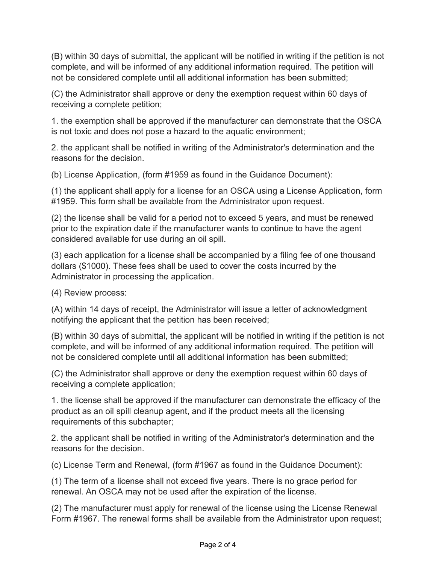(B) within 30 days of submittal, the applicant will be notified in writing if the petition is not complete, and will be informed of any additional information required. The petition will not be considered complete until all additional information has been submitted;

(C) the Administrator shall approve or deny the exemption request within 60 days of receiving a complete petition;

1. the exemption shall be approved if the manufacturer can demonstrate that the OSCA is not toxic and does not pose a hazard to the aquatic environment;

2. the applicant shall be notified in writing of the Administrator's determination and the reasons for the decision.

(b) License Application, (form #1959 as found in the Guidance Document):

(1) the applicant shall apply for a license for an OSCA using a License Application, form #1959. This form shall be available from the Administrator upon request.

(2) the license shall be valid for a period not to exceed 5 years, and must be renewed prior to the expiration date if the manufacturer wants to continue to have the agent considered available for use during an oil spill.

(3) each application for a license shall be accompanied by a filing fee of one thousand dollars (\$1000). These fees shall be used to cover the costs incurred by the Administrator in processing the application.

(4) Review process:

(A) within 14 days of receipt, the Administrator will issue a letter of acknowledgment notifying the applicant that the petition has been received;

(B) within 30 days of submittal, the applicant will be notified in writing if the petition is not complete, and will be informed of any additional information required. The petition will not be considered complete until all additional information has been submitted;

(C) the Administrator shall approve or deny the exemption request within 60 days of receiving a complete application;

1. the license shall be approved if the manufacturer can demonstrate the efficacy of the product as an oil spill cleanup agent, and if the product meets all the licensing requirements of this subchapter;

2. the applicant shall be notified in writing of the Administrator's determination and the reasons for the decision.

(c) License Term and Renewal, (form #1967 as found in the Guidance Document):

(1) The term of a license shall not exceed five years. There is no grace period for renewal. An OSCA may not be used after the expiration of the license.

(2) The manufacturer must apply for renewal of the license using the License Renewal Form #1967. The renewal forms shall be available from the Administrator upon request;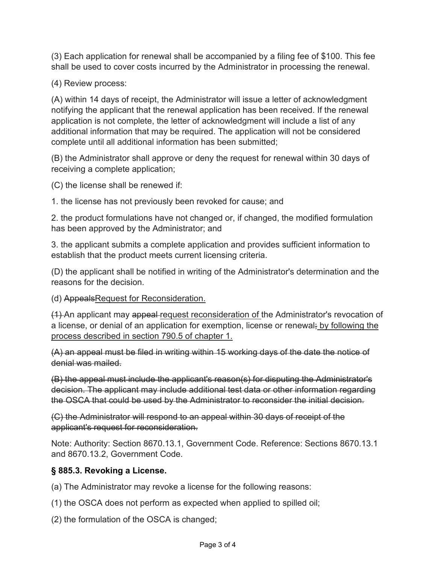(3) Each application for renewal shall be accompanied by a filing fee of \$100. This fee shall be used to cover costs incurred by the Administrator in processing the renewal.

(4) Review process:

(A) within 14 days of receipt, the Administrator will issue a letter of acknowledgment notifying the applicant that the renewal application has been received. If the renewal application is not complete, the letter of acknowledgment will include a list of any additional information that may be required. The application will not be considered complete until all additional information has been submitted;

(B) the Administrator shall approve or deny the request for renewal within 30 days of receiving a complete application;

(C) the license shall be renewed if:

1. the license has not previously been revoked for cause; and

2. the product formulations have not changed or, if changed, the modified formulation has been approved by the Administrator; and

3. the applicant submits a complete application and provides sufficient information to establish that the product meets current licensing criteria.

(D) the applicant shall be notified in writing of the Administrator's determination and the reasons for the decision.

# (d) AppealsRequest for Reconsideration.

(1) An applicant may appeal request reconsideration of the Administrator's revocation of a license, or denial of an application for exemption, license or renewal; by following the process described in section 790.5 of chapter 1.

(A) an appeal must be filed in writing within 15 working days of the date the notice of denial was mailed.

(B) the appeal must include the applicant's reason(s) for disputing the Administrator's decision. The applicant may include additional test data or other information regarding the OSCA that could be used by the Administrator to reconsider the initial decision.

(C) the Administrator will respond to an appeal within 30 days of receipt of the applicant's request for reconsideration.

Note: Authority: Section 8670.13.1, Government Code. Reference: Sections 8670.13.1 and 8670.13.2, Government Code.

# **§ 885.3. Revoking a License.**

(a) The Administrator may revoke a license for the following reasons:

(1) the OSCA does not perform as expected when applied to spilled oil;

(2) the formulation of the OSCA is changed;